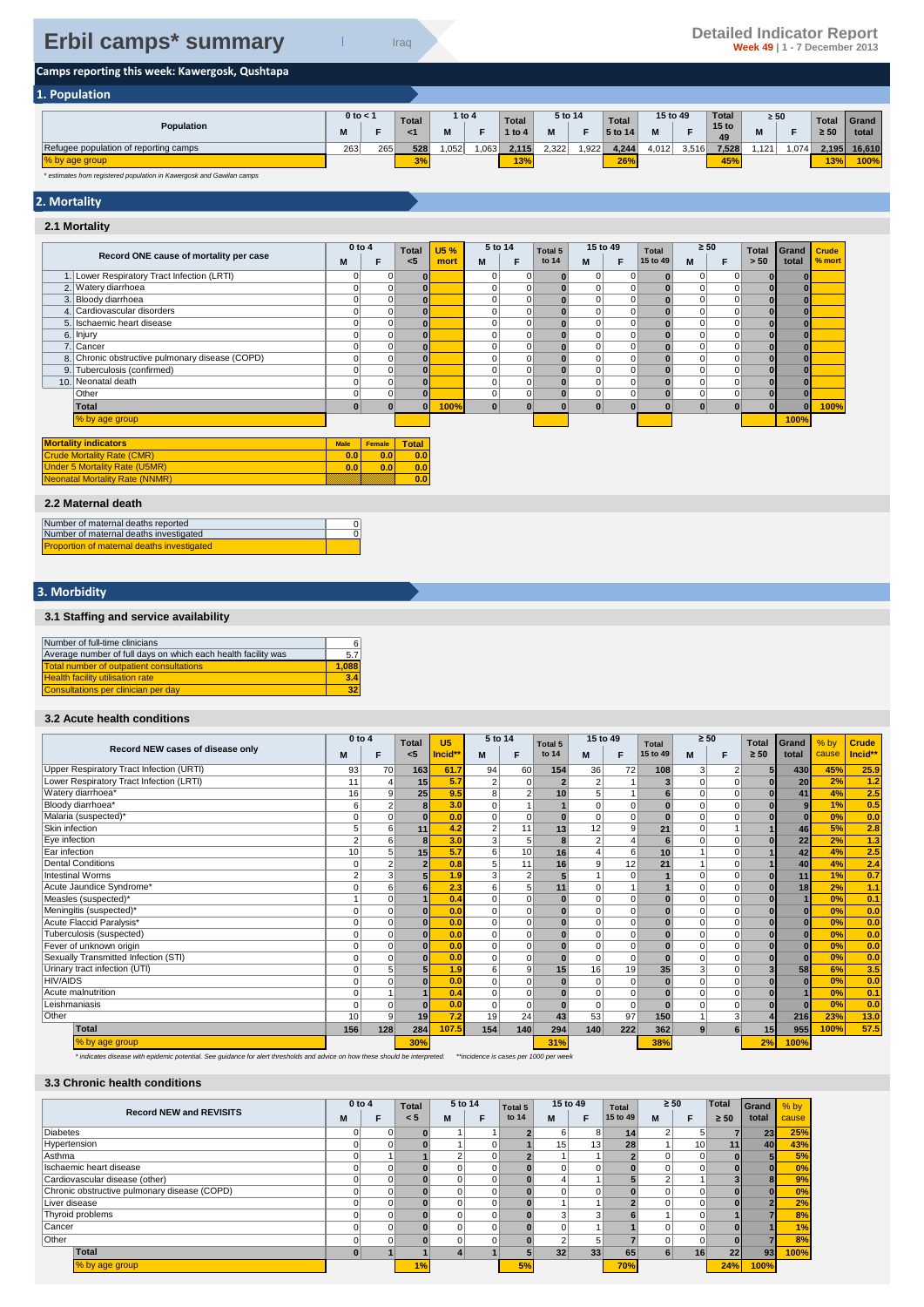# **Camps reporting this week: Kawergosk, Qushtapa**

| 1. Population                         |              |     |                |      |          |              |         |      |              |       |          |                        |           |      |              |        |
|---------------------------------------|--------------|-----|----------------|------|----------|--------------|---------|------|--------------|-------|----------|------------------------|-----------|------|--------------|--------|
|                                       | $0$ to $<$ 1 |     | <b>Total</b>   |      | 1 to $4$ | <b>Total</b> | 5 to 14 |      | <b>Total</b> |       | 15 to 49 | <b>Total</b>           | $\geq 50$ |      | <b>Total</b> | Grand  |
| Population                            | M            |     | <1             | M    |          | 1 to 4       | M       | -    | 5 to 14      | M     |          | 15 <sub>to</sub><br>49 | IVI.      |      | $\geq 50$    | total  |
| Refugee population of reporting camps | 263          | 265 | 528            | ,052 | .063     | 2,115        | 2.322   | ,922 | 4,244        | 4,012 | 3,516    | 7,528                  | ,121      | .074 | 2,195        | 16.610 |
| % by age group                        |              |     | $\overline{a}$ |      |          | 13%          |         |      | 26%          |       |          | 45%                    |           |      | 13%          | 100%   |

*\* estimates from registered population in Kawergosk and Gawilan camps*

## **2. Mortality**

#### **2.1 Mortality**

|                                                 | $0$ to $4$     |               | <b>Total</b> | U5 % | 5 to 14  |          | Total 5  |                 | 15 to 49 | Total    | $\geq 50$ |             | <b>Total</b> | Grand | <b>Crude</b> |
|-------------------------------------------------|----------------|---------------|--------------|------|----------|----------|----------|-----------------|----------|----------|-----------|-------------|--------------|-------|--------------|
| Record ONE cause of mortality per case          | M              | F             | $5$          | mort | М        | F        | to 14    | M               | F        | 15 to 49 | M         | F           | > 50         | total | % mort       |
| 1. Lower Respiratory Tract Infection (LRTI)     | $\overline{0}$ | 0             | $\bf{0}$     |      | 0        | 0        | $\bf{0}$ | $\overline{0}$  | 0        |          | 0         | 0           | $\bf{0}$     |       |              |
| 2. Watery diarrhoea                             | 0              |               | $\bf{0}$     |      |          |          |          | 0               | 0        |          |           | $\mathbf 0$ |              |       |              |
| 3. Bloody diarrhoea                             | 0              | 0             | $\bf{0}$     |      |          | $\Omega$ |          | $\vert 0 \vert$ | 0        |          | 0         | $\mathbf 0$ | $\bf{0}$     |       |              |
| 4. Cardiovascular disorders                     |                | 0             |              |      |          | 0        |          | $\vert 0 \vert$ | 0        |          |           | $\mathbf 0$ | $\bf{0}$     |       |              |
| 5. Ischaemic heart disease                      | 0              | 0             | $\bf{0}$     |      |          | 0        |          | $\vert 0 \vert$ | 0        |          | 0         | 0           | $\bf{0}$     |       |              |
| 6. Injury                                       | $\overline{0}$ | 0             | $\bf{0}$     |      |          | 0        |          | $\vert 0 \vert$ | 0        |          | 0         | 0           | $\bf{0}$     |       |              |
| 7. Cancer                                       | 0              | 0             |              |      |          | 0        |          | $\Omega$        | 0        |          | 0         | $\mathbf 0$ | $\bf{0}$     |       |              |
| 8. Chronic obstructive pulmonary disease (COPD) | ٥l             | 0             | $\bf{0}$     |      |          | 0        |          | $\vert 0 \vert$ | 0        |          | 0         | $\mathbf 0$ | $\bf{0}$     |       |              |
| 9. Tuberculosis (confirmed)                     | 0              | 0             | $\bf{0}$     |      |          | 0        |          | $\vert 0 \vert$ | 0        |          | 0         | 0           | $\bf{0}$     |       |              |
| 10. Neonatal death                              | ٥l             | 0             | $\bf{0}$     |      |          | 0        | $\Omega$ | $\vert 0 \vert$ | 0        |          | 0         | 0           | $\bf{0}$     |       |              |
| Other                                           | 0              | 0             | $\bf{0}$     |      | $\Omega$ | $\Omega$ |          | $\vert 0 \vert$ | 0        |          | 0         | 0           | $\bf{0}$     |       |              |
| Total                                           | $\mathbf{0}$   |               | $\bf{0}$     | 100% | $\bf{0}$ |          |          | $\mathbf{0}$    |          |          | $\bf{0}$  | $\bf{0}$    | $\bf{0}$     |       | 100%         |
| % by age group                                  |                |               |              |      |          |          |          |                 |          |          |           |             |              | 100%  |              |
| <b>Mortality indicators</b>                     | <b>Male</b>    | <b>Female</b> | <b>Total</b> |      |          |          |          |                 |          |          |           |             |              |       |              |
| <b>Crude Mortality Rate (CMR)</b>               | 0.0            | 0.0           | 0.0          |      |          |          |          |                 |          |          |           |             |              |       |              |
| <b>Under 5 Mortality Rate (U5MR)</b>            | 0.0            | 0.0           | 0.0          |      |          |          |          |                 |          |          |           |             |              |       |              |
| <b>Neonatal Mortality Rate (NNMR)</b>           |                |               | 0.0          |      |          |          |          |                 |          |          |           |             |              |       |              |
| 2.2 Maternal death                              |                |               |              |      |          |          |          |                 |          |          |           |             |              |       |              |

0 0

| Number of maternal deaths reported     |
|----------------------------------------|
| Number of maternal deaths investigated |

Proportion of maternal deaths investigated

## **3. Morbidity**

#### **3.1 Staffing and service availability**

| Number of full-time clinicians                                | 6     |
|---------------------------------------------------------------|-------|
| Average number of full days on which each health facility was | 5.7   |
| Total number of outpatient consultations                      | 1.088 |
| <b>Health facility utilisation rate</b>                       | 3.4   |
| Consultations per clinician per day                           | 32    |

#### **3.2 Acute health conditions**

|                                          | $0$ to $4$ |                | <b>Total</b> | U <sub>5</sub> |                | 5 to 14  |                | 15 to 49<br>Total 5 |                | <b>Total</b> |          | $\geq 50$<br><b>Total</b> |           | Grand | % by  | <b>Crude</b> |
|------------------------------------------|------------|----------------|--------------|----------------|----------------|----------|----------------|---------------------|----------------|--------------|----------|---------------------------|-----------|-------|-------|--------------|
| Record NEW cases of disease only         |            | E              | $<$ 5        | Incid**        | M              | F        | to 14          | M                   | F              | 15 to 49     | M        | F                         | $\geq 50$ | total | cause | Incid**      |
| Upper Respiratory Tract Infection (URTI) | 93         | 70             | 163          | 61.7           | 94             | 60       | 154            | 36                  | 72             | 108          | 3        |                           |           | 430   | 45%   | 25.9         |
| Lower Respiratory Tract Infection (LRTI) | 11         | 4              | 15           | 5.7            | $\overline{2}$ | $\Omega$ |                | $\overline{2}$      |                | 3            | $\Omega$ | $\Omega$                  |           | 20    | 2%    | 1.2          |
| Watery diarrhoea*                        | 16         | 9              | 25           | 9.5            | 8 <sup>1</sup> | 2        | 10             | 5                   | $\mathbf{1}$   | 6            | $\Omega$ |                           |           | 41    | 4%    | 2.5          |
| Bloody diarrhoea*                        | 6          | $\overline{2}$ | 8            | 3.0            | $\Omega$       |          |                | $\Omega$            | $\mathbf 0$    | $\bf{0}$     | $\Omega$ |                           |           | 9     | 1%    | 0.5          |
| Malaria (suspected)*                     |            | $\Omega$       |              | 0.0            | $\Omega$       |          |                | $\Omega$            | $\mathbf 0$    |              | $\Omega$ |                           |           |       | 0%    | 0.0          |
| Skin infection                           |            | 6              | 11           | 4.2            | $\overline{2}$ | 11       | 13             | 12                  | 9              | 21           | $\Omega$ |                           |           | 46    | 5%    | 2.8          |
| Eye infection                            | ሳ          | 6              | 8            | 3.0            | 3              |          | 8              | $\overline{2}$      | $\overline{4}$ |              | $\Omega$ |                           |           | 22    | 2%    | $1.3$        |
| Ear infection                            | 10         | 5              | 15           | 5.7            | 6              | 10       | 16             |                     | 6              | 10           |          |                           |           | 42    | 4%    | 2.5          |
| <b>Dental Conditions</b>                 |            | $\overline{2}$ |              | 0.8            | 5 <sup>1</sup> | 11       | 16             | 9                   | 12             | 21           |          |                           |           | 40    | 4%    | 2.4          |
| <b>Intestinal Worms</b>                  | 2          | 3              |              | 1.9            | 3 <sup>1</sup> |          | 5 <sub>1</sub> |                     | $\mathbf 0$    |              | $\Omega$ | $\Omega$                  |           | 11    | 1%    | 0.7          |
| Acute Jaundice Syndrome*                 |            | 6              |              | 2.3            | 6              |          | 11             | $\Omega$            |                |              | $\Omega$ | $\Omega$                  |           | 18    | 2%    | 1.1          |
| Measles (suspected)*                     |            | 0              |              | 0.4            | $\Omega$       | $\Omega$ |                | $\Omega$            | $\mathbf 0$    |              | $\Omega$ |                           |           |       | 0%    | 0.1          |
| Meningitis (suspected)*                  |            | 0              | $\Omega$     | 0.0            | $\Omega$       |          |                | $\Omega$            | $\mathbf 0$    |              | $\Omega$ | $\Omega$                  |           |       | 0%    | 0.0          |
| Acute Flaccid Paralysis*                 |            | $\Omega$       | $\Omega$     | 0.0            | $\Omega$       | $\Omega$ |                | $\Omega$            | $\Omega$       | $\bf{0}$     | $\Omega$ | $\Omega$                  |           |       | 0%    | 0.0          |
| Tuberculosis (suspected)                 |            | 0              | $\Omega$     | 0.0            | $\overline{0}$ | $\Omega$ |                | $\Omega$            | $\Omega$       | $\bf{0}$     | $\Omega$ | $\Omega$                  |           |       | 0%    | 0.0          |
| Fever of unknown origin                  |            | 0              | $\Omega$     | 0.0            | $\Omega$       | $\Omega$ |                | $\Omega$            | $\mathbf 0$    |              | $\Omega$ |                           |           |       | 0%    | 0.0          |
| Sexually Transmitted Infection (STI)     |            | 0              |              | 0.0            | $\Omega$       |          | $\bf{0}$       | $\Omega$            | $\mathbf 0$    | $\bf{0}$     | $\Omega$ |                           |           |       | 0%    | 0.0          |
| Urinary tract infection (UTI)            |            | 5              |              | 1.9            | 6              | 9        | 15             | 16                  | 19             | 35           | 3        |                           |           | 58    | 6%    | 3.5          |
| <b>HIV/AIDS</b>                          |            | $\Omega$       |              | 0.0            | $\Omega$       |          |                | 0                   | $\Omega$       | $\bf{0}$     | $\Omega$ | $\Omega$                  |           |       | 0%    | 0.0          |
| Acute malnutrition                       |            |                |              | 0.4            | $\Omega$       | $\Omega$ |                | $\Omega$            | $\mathbf 0$    | $\bf{0}$     | $\Omega$ |                           |           |       | 0%    | 0.1          |
| Leishmaniasis                            | $\Omega$   | 0              | $\Omega$     | 0.0            | $\Omega$       | $\Omega$ | $\mathbf{0}$   | 0                   | $\mathbf 0$    | $\mathbf{0}$ | $\Omega$ | $\Omega$                  |           |       | 0%    | 0.0          |
| Other                                    | 10         | 9              | 19           | 7.2            | 19             | 24       | 43             | 53                  | 97             | 150          |          | 3                         |           | 216   | 23%   | 13.0         |
| <b>Total</b>                             | 156        | 128            | 284          | 107.5          | 154            | 140      | 294            | 140                 | 222            | 362          | 9        |                           | 15        | 955   | 100%  | 57.5         |
| % by age group                           |            |                | 30%          |                |                |          | 31%            |                     |                | 38%          |          |                           | 2%        | 100%  |       |              |

*\* indicates disease with epidemic potential. See guidance for alert thresholds and advice on how these should be interpreted. \*\*incidence is cases per 1000 per week*

## **3.3 Chronic health conditions**

|                                              | $0$ to $4$ |   | <b>Total</b> |          | 5 to 14 | Total 5 |                 | 15 to 49        | <b>Total</b> | $\geq 50$ |          | <b>Total</b>   | Grand | $%$ by |
|----------------------------------------------|------------|---|--------------|----------|---------|---------|-----------------|-----------------|--------------|-----------|----------|----------------|-------|--------|
| <b>Record NEW and REVISITS</b>               | м          |   | < 5          | M        |         | to 14   | M               | F               | 15 to 49     | M         | F        | $\geq 50$      | total | cause  |
| <b>Diabetes</b>                              | 0          | 0 |              |          |         |         | 6               | 8               | 14           |           | 5        |                | 23    | 25%    |
| Hypertension                                 | 0          |   |              |          |         |         | 15 <sub>1</sub> | 13              | 28           |           | 10       | 11             | 40    | 43%    |
| Asthma                                       |            |   |              |          | 0       |         |                 |                 |              |           | $\Omega$ | $\overline{0}$ |       | 5%     |
| Ischaemic heart disease                      | 0          |   |              |          |         |         |                 | $\Omega$        |              |           | $\Omega$ | $\overline{0}$ |       | 0%     |
| Cardiovascular disease (other)               | 0          |   |              | $\Omega$ |         |         |                 |                 |              |           |          |                |       | 9%     |
| Chronic obstructive pulmonary disease (COPD) | 0          |   |              |          |         |         |                 | 0               |              |           | 0        | $\overline{0}$ |       | 0%     |
| Liver disease                                | $\Omega$   |   |              |          |         |         |                 |                 |              |           | 0        |                |       | 2%     |
| Thyroid problems                             | 0          | 0 |              |          |         |         |                 | 3               |              |           | 0        |                |       | 8%     |
| Cancer                                       | 0          |   |              |          |         |         |                 |                 |              |           | $\Omega$ |                |       | 1%     |
| Other                                        | 0          |   |              | $\Omega$ |         |         |                 | 5               |              |           | $\Omega$ | 0              |       | 8%     |
| Total                                        | $\bf{0}$   |   |              | 4        |         |         | 32 <sub>1</sub> | 33 <sub>1</sub> | 65           |           | 16       | 22             | 93    | 100%   |
| % by age group                               |            |   | 1%           |          |         | 5%      |                 |                 | 70%          |           |          | 24%            | 100%  |        |